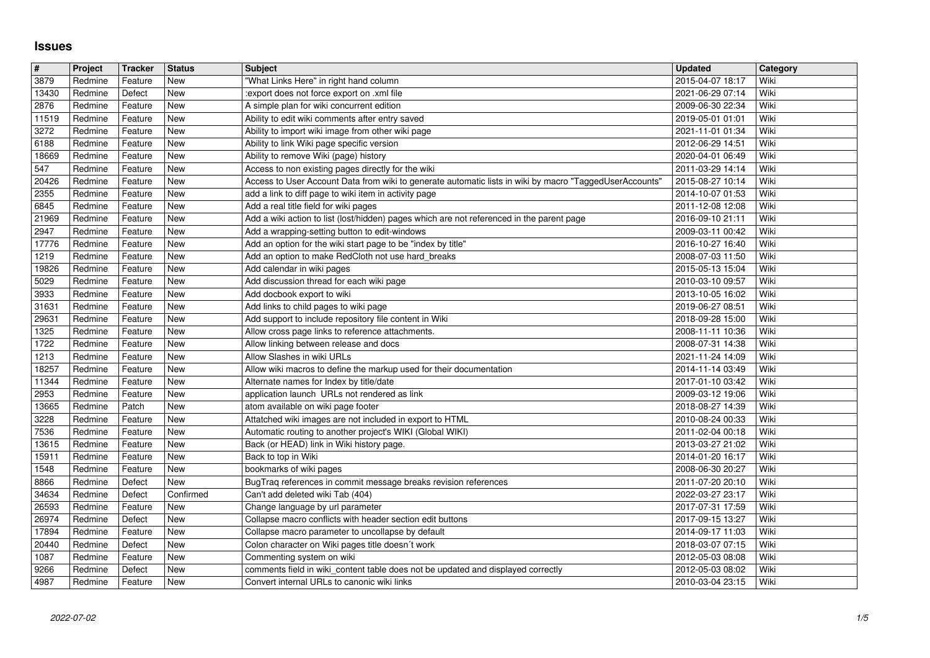## **Issues**

| #              | Project            | <b>Tracker</b>     | <b>Status</b>     | <b>Subject</b>                                                                                                                                                | <b>Updated</b>                       | Category     |
|----------------|--------------------|--------------------|-------------------|---------------------------------------------------------------------------------------------------------------------------------------------------------------|--------------------------------------|--------------|
| 3879           | Redmine            | Feature            | New               | "What Links Here" in right hand column                                                                                                                        | 2015-04-07 18:17                     | Wiki         |
| 13430<br>2876  | Redmine<br>Redmine | Defect<br>Feature  | New<br>New        | :export does not force export on .xml file<br>A simple plan for wiki concurrent edition                                                                       | 2021-06-29 07:14<br>2009-06-30 22:34 | Wiki<br>Wiki |
| 11519          | Redmine            | Feature            | <b>New</b>        | Ability to edit wiki comments after entry saved                                                                                                               | 2019-05-01 01:01                     | Wiki         |
| 3272           | Redmine            | Feature            | New               | Ability to import wiki image from other wiki page                                                                                                             | 2021-11-01 01:34                     | Wiki         |
| 6188           | Redmine            | Feature            | New               | Ability to link Wiki page specific version                                                                                                                    | 2012-06-29 14:51                     | Wiki         |
| 18669          | Redmine            | Feature            | New               | Ability to remove Wiki (page) history                                                                                                                         | 2020-04-01 06:49                     | Wiki         |
| 547<br>20426   | Redmine<br>Redmine | Feature<br>Feature | New<br>New        | Access to non existing pages directly for the wiki<br>Access to User Account Data from wiki to generate automatic lists in wiki by macro "TaggedUserAccounts' | 2011-03-29 14:14<br>2015-08-27 10:14 | Wiki<br>Wiki |
| 2355           | Redmine            | Feature            | New               | add a link to diff page to wiki item in activity page                                                                                                         | 2014-10-07 01:53                     | Wiki         |
| 6845           | Redmine            | Feature            | New               | Add a real title field for wiki pages                                                                                                                         | 2011-12-08 12:08                     | Wiki         |
| 21969          | Redmine            | Feature            | <b>New</b>        | Add a wiki action to list (lost/hidden) pages which are not referenced in the parent page                                                                     | 2016-09-10 21:11                     | Wiki         |
| 2947<br>17776  | Redmine<br>Redmine | Feature<br>Feature | New<br>New        | Add a wrapping-setting button to edit-windows<br>Add an option for the wiki start page to be "index by title"                                                 | 2009-03-11 00:42<br>2016-10-27 16:40 | Wiki<br>Wiki |
| 1219           | Redmine            | Feature            | New               | Add an option to make RedCloth not use hard_breaks                                                                                                            | 2008-07-03 11:50                     | Wiki         |
| 19826          | Redmine            | Feature            | New               | Add calendar in wiki pages                                                                                                                                    | 2015-05-13 15:04                     | Wiki         |
| 5029           | Redmine            | Feature            | <b>New</b>        | Add discussion thread for each wiki page                                                                                                                      | 2010-03-10 09:57                     | Wiki         |
| 3933           | Redmine            | Feature            | New               | Add docbook export to wiki                                                                                                                                    | 2013-10-05 16:02                     | Wiki         |
| 31631<br>29631 | Redmine<br>Redmine | Feature<br>Feature | New<br>New        | Add links to child pages to wiki page<br>Add support to include repository file content in Wiki                                                               | 2019-06-27 08:51<br>2018-09-28 15:00 | Wiki<br>Wiki |
| 1325           | Redmine            | Feature            | New               | Allow cross page links to reference attachments.                                                                                                              | 2008-11-11 10:36                     | Wiki         |
| 1722           | Redmine            | Feature            | New               | Allow linking between release and docs                                                                                                                        | 2008-07-31 14:38                     | Wiki         |
| 1213           | Redmine            | Feature            | New               | Allow Slashes in wiki URLs                                                                                                                                    | 2021-11-24 14:09                     | Wiki         |
| 18257<br>11344 | Redmine<br>Redmine | Feature<br>Feature | New<br>New        | Allow wiki macros to define the markup used for their documentation<br>Alternate names for Index by title/date                                                | 2014-11-14 03:49<br>2017-01-10 03:42 | Wiki<br>Wiki |
| 2953           | Redmine            | Feature            | <b>New</b>        | application launch URLs not rendered as link                                                                                                                  | 2009-03-12 19:06                     | Wiki         |
| 13665          | Redmine            | Patch              | New               | atom available on wiki page footer                                                                                                                            | 2018-08-27 14:39                     | Wiki         |
| 3228           | Redmine            | Feature            | New               | Attatched wiki images are not included in export to HTML                                                                                                      | 2010-08-24 00:33                     | Wiki         |
| 7536           | Redmine            | Feature            | New<br><b>New</b> | Automatic routing to another project's WIKI (Global WIKI)                                                                                                     | 2011-02-04 00:18                     | Wiki<br>Wiki |
| 13615<br>15911 | Redmine<br>Redmine | Feature<br>Feature | New               | Back (or HEAD) link in Wiki history page.<br>Back to top in Wiki                                                                                              | 2013-03-27 21:02<br>2014-01-20 16:17 | Wiki         |
| 1548           | Redmine            | Feature            | <b>New</b>        | bookmarks of wiki pages                                                                                                                                       | 2008-06-30 20:27                     | Wiki         |
| 8866           | Redmine            | Defect             | <b>New</b>        | BugTraq references in commit message breaks revision references                                                                                               | 2011-07-20 20:10                     | Wiki         |
| 34634          | Redmine            | Defect             | Confirmed         | Can't add deleted wiki Tab (404)                                                                                                                              | 2022-03-27 23:17                     | Wiki         |
| 26593<br>26974 | Redmine<br>Redmine | Feature<br>Defect  | New<br>New        | Change language by url parameter<br>Collapse macro conflicts with header section edit buttons                                                                 | 2017-07-31 17:59<br>2017-09-15 13:27 | Wiki<br>Wiki |
| 17894          | Redmine            | Feature            | New               | Collapse macro parameter to uncollapse by default                                                                                                             | 2014-09-17 11:03                     | Wiki         |
| 20440          | Redmine            | Defect             | New               | Colon character on Wiki pages title doesn't work                                                                                                              | 2018-03-07 07:15                     | Wiki         |
| 1087           | Redmine            | Feature            | New               | Commenting system on wiki                                                                                                                                     | 2012-05-03 08:08                     | Wiki         |
| 9266<br>4987   | Redmine<br>Redmine | Defect<br>Feature  | New<br>New        | comments field in wiki_content table does not be updated and displayed correctly<br>Convert internal URLs to canonic wiki links                               | 2012-05-03 08:02<br>2010-03-04 23:15 | Wiki<br>Wiki |
|                |                    |                    |                   |                                                                                                                                                               |                                      |              |
|                |                    |                    |                   |                                                                                                                                                               |                                      |              |
|                |                    |                    |                   |                                                                                                                                                               |                                      |              |
|                |                    |                    |                   |                                                                                                                                                               |                                      |              |
|                |                    |                    |                   |                                                                                                                                                               |                                      |              |
|                |                    |                    |                   |                                                                                                                                                               |                                      |              |
|                |                    |                    |                   |                                                                                                                                                               |                                      |              |
|                |                    |                    |                   |                                                                                                                                                               |                                      |              |
|                |                    |                    |                   |                                                                                                                                                               |                                      |              |
|                |                    |                    |                   |                                                                                                                                                               |                                      |              |
|                |                    |                    |                   |                                                                                                                                                               |                                      |              |
|                |                    |                    |                   |                                                                                                                                                               |                                      |              |
|                |                    |                    |                   |                                                                                                                                                               |                                      |              |
|                |                    |                    |                   |                                                                                                                                                               |                                      |              |
|                |                    |                    |                   |                                                                                                                                                               |                                      |              |
|                |                    |                    |                   |                                                                                                                                                               |                                      |              |
|                |                    |                    |                   |                                                                                                                                                               |                                      |              |
|                |                    |                    |                   |                                                                                                                                                               |                                      |              |
|                |                    |                    |                   |                                                                                                                                                               |                                      |              |
|                |                    |                    |                   |                                                                                                                                                               |                                      |              |
|                |                    |                    |                   |                                                                                                                                                               |                                      |              |
|                |                    |                    |                   |                                                                                                                                                               |                                      |              |
|                |                    |                    |                   |                                                                                                                                                               |                                      |              |
|                |                    |                    |                   |                                                                                                                                                               |                                      |              |
|                |                    |                    |                   |                                                                                                                                                               |                                      |              |
|                |                    |                    |                   |                                                                                                                                                               |                                      |              |
|                |                    |                    |                   |                                                                                                                                                               |                                      |              |
|                |                    |                    |                   |                                                                                                                                                               |                                      |              |
|                |                    |                    |                   |                                                                                                                                                               |                                      |              |
|                |                    |                    |                   |                                                                                                                                                               |                                      |              |
|                |                    |                    |                   |                                                                                                                                                               |                                      |              |
|                |                    |                    |                   |                                                                                                                                                               |                                      |              |
|                |                    |                    |                   |                                                                                                                                                               |                                      |              |
|                |                    |                    |                   |                                                                                                                                                               |                                      |              |
|                |                    |                    |                   |                                                                                                                                                               |                                      |              |
|                |                    |                    |                   |                                                                                                                                                               |                                      |              |
|                |                    |                    |                   |                                                                                                                                                               |                                      |              |
|                |                    |                    |                   |                                                                                                                                                               |                                      |              |
|                |                    |                    |                   |                                                                                                                                                               |                                      |              |
|                |                    |                    |                   |                                                                                                                                                               |                                      |              |
|                |                    |                    |                   |                                                                                                                                                               |                                      |              |
|                |                    |                    |                   |                                                                                                                                                               |                                      |              |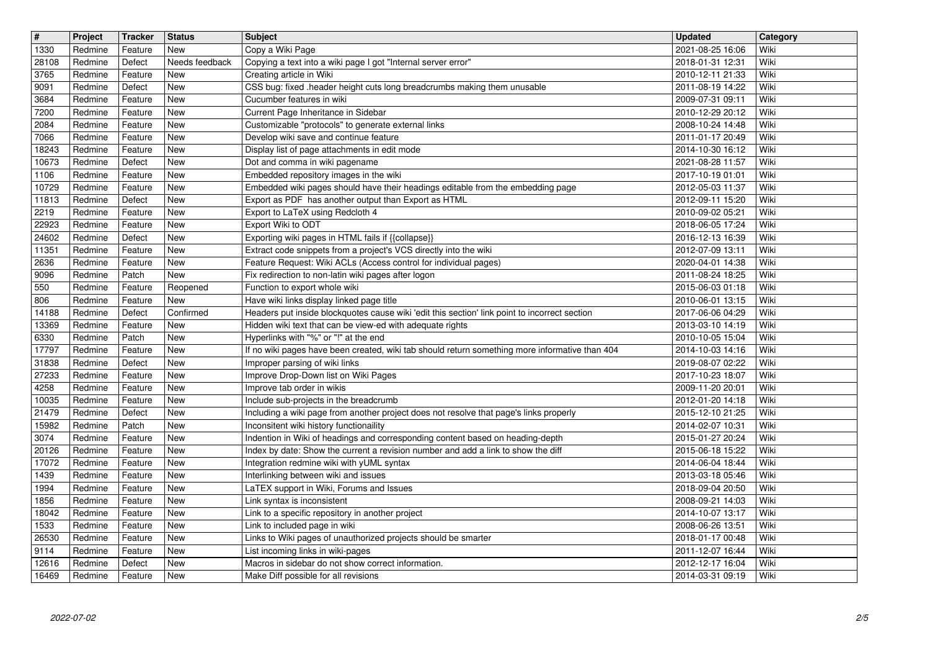| $\overline{\mathbf{H}}$<br>1330 | Project<br>Redmine | Tracker<br>Feature | <b>Status</b><br><b>New</b> | <b>Subject</b><br>Copy a Wiki Page                                                                                                      | <b>Updated</b><br>2021-08-25 16:06   | Category<br>Wiki |
|---------------------------------|--------------------|--------------------|-----------------------------|-----------------------------------------------------------------------------------------------------------------------------------------|--------------------------------------|------------------|
| 28108                           | Redmine            | Defect             | Needs feedback              | Copying a text into a wiki page I got "Internal server error"                                                                           | 2018-01-31 12:31                     | Wiki             |
| 3765<br>9091                    | Redmine<br>Redmine | Feature<br>Defect  | <b>New</b><br><b>New</b>    | Creating article in Wiki<br>CSS bug: fixed .header height cuts long breadcrumbs making them unusable                                    | 2010-12-11 21:33<br>2011-08-19 14:22 | Wiki<br>Wiki     |
| 3684                            | Redmine            | Feature            | <b>New</b>                  | Cucumber features in wiki                                                                                                               | 2009-07-31 09:11                     | Wiki             |
| 7200<br>2084                    | Redmine<br>Redmine | Feature<br>Feature | <b>New</b><br>New           | Current Page Inheritance in Sidebar<br>Customizable "protocols" to generate external links                                              | 2010-12-29 20:12<br>2008-10-24 14:48 | Wiki<br>Wiki     |
| 7066                            | Redmine            | Feature            | New                         | Develop wiki save and continue feature                                                                                                  | 2011-01-17 20:49                     | Wiki             |
| 18243<br>10673                  | Redmine<br>Redmine | Feature<br>Defect  | <b>New</b><br>New           | Display list of page attachments in edit mode<br>Dot and comma in wiki pagename                                                         | 2014-10-30 16:12<br>2021-08-28 11:57 | Wiki<br>Wiki     |
| 1106                            | Redmine            | Feature            | <b>New</b>                  | Embedded repository images in the wiki                                                                                                  | 2017-10-19 01:01                     | Wiki             |
| 10729<br>11813                  | Redmine<br>Redmine | Feature<br>Defect  | <b>New</b><br>New           | Embedded wiki pages should have their headings editable from the embedding page<br>Export as PDF has another output than Export as HTML | 2012-05-03 11:37<br>2012-09-11 15:20 | Wiki<br>Wiki     |
| 2219<br>22923                   | Redmine<br>Redmine | Feature<br>Feature | <b>New</b><br><b>New</b>    | Export to LaTeX using Redcloth 4<br>Export Wiki to ODT                                                                                  | 2010-09-02 05:21                     | Wiki<br>Wiki     |
| 24602                           | Redmine            | Defect             | New                         | Exporting wiki pages in HTML fails if {{collapse}}                                                                                      | 2018-06-05 17:24<br>2016-12-13 16:39 | Wiki             |
| 11351<br>2636                   | Redmine<br>Redmine | Feature<br>Feature | New<br>New                  | Extract code snippets from a project's VCS directly into the wiki<br>Feature Request: Wiki ACLs (Access control for individual pages)   | 2012-07-09 13:11<br>2020-04-01 14:38 | Wiki<br>Wiki     |
| 9096                            | Redmine            | Patch              | New                         | Fix redirection to non-latin wiki pages after logon                                                                                     | 2011-08-24 18:25                     | Wiki             |
| 550<br>806                      | Redmine<br>Redmine | Feature<br>Feature | Reopened<br>New             | Function to export whole wiki<br>Have wiki links display linked page title                                                              | 2015-06-03 01:18<br>2010-06-01 13:15 | Wiki<br>Wiki     |
| 14188                           | Redmine            | Defect             | Confirmed                   | Headers put inside blockquotes cause wiki 'edit this section' link point to incorrect section                                           | 2017-06-06 04:29                     | Wiki             |
| 13369<br>6330                   | Redmine<br>Redmine | Feature<br>Patch   | New<br><b>New</b>           | Hidden wiki text that can be view-ed with adequate rights<br>Hyperlinks with "%" or "!" at the end                                      | 2013-03-10 14:19<br>2010-10-05 15:04 | Wiki<br>Wiki     |
| 17797                           | Redmine            | Feature            | New                         | If no wiki pages have been created, wiki tab should return something more informative than 404                                          | 2014-10-03 14:16                     | Wiki             |
| 31838<br>27233                  | Redmine<br>Redmine | Defect<br>Feature  | New<br>New                  | Improper parsing of wiki links<br>Improve Drop-Down list on Wiki Pages                                                                  | 2019-08-07 02:22<br>2017-10-23 18:07 | Wiki<br>Wiki     |
| 4258                            | Redmine            | Feature            | New<br><b>New</b>           | Improve tab order in wikis                                                                                                              | 2009-11-20 20:01                     | Wiki<br>Wiki     |
| 10035<br>21479                  | Redmine<br>Redmine | Feature<br>Defect  | <b>New</b>                  | Include sub-projects in the breadcrumb<br>Including a wiki page from another project does not resolve that page's links properly        | 2012-01-20 14:18<br>2015-12-10 21:25 | Wiki             |
| 15982<br>3074                   | Redmine<br>Redmine | Patch              | New<br>New                  | Inconsitent wiki history functionaility<br>Indention in Wiki of headings and corresponding content based on heading-depth               | 2014-02-07 10:31<br>2015-01-27 20:24 | Wiki<br>Wiki     |
| 20126                           | Redmine            | Feature<br>Feature | <b>New</b>                  | Index by date: Show the current a revision number and add a link to show the diff                                                       | 2015-06-18 15:22                     | Wiki             |
| 17072<br>1439                   | Redmine<br>Redmine | Feature<br>Feature | New<br>New                  | Integration redmine wiki with yUML syntax<br>Interlinking between wiki and issues                                                       | 2014-06-04 18:44<br>2013-03-18 05:46 | Wiki<br>Wiki     |
| 1994                            | Redmine            | Feature            | New                         | LaTEX support in Wiki, Forums and Issues                                                                                                | 2018-09-04 20:50                     | Wiki             |
| 1856<br>18042                   | Redmine<br>Redmine | Feature<br>Feature | New<br>New                  | Link syntax is inconsistent<br>Link to a specific repository in another project                                                         | 2008-09-21 14:03<br>2014-10-07 13:17 | Wiki<br>Wiki     |
| 1533                            | Redmine            | Feature            | New                         | Link to included page in wiki                                                                                                           | 2008-06-26 13:51                     | Wiki             |
| 26530<br>9114                   | Redmine<br>Redmine | Feature<br>Feature | New<br>New                  | Links to Wiki pages of unauthorized projects should be smarter<br>List incoming links in wiki-pages                                     | 2018-01-17 00:48<br>2011-12-07 16:44 | Wiki<br>Wiki     |
| 12616                           | Redmine            | Defect             | New                         | Macros in sidebar do not show correct information.                                                                                      | 2012-12-17 16:04                     | Wiki             |
| 16469                           | Redmine            | Feature            | New                         | Make Diff possible for all revisions                                                                                                    | 2014-03-31 09:19                     | Wiki             |
|                                 |                    |                    |                             |                                                                                                                                         |                                      |                  |
|                                 |                    |                    |                             |                                                                                                                                         |                                      |                  |
|                                 |                    |                    |                             |                                                                                                                                         |                                      |                  |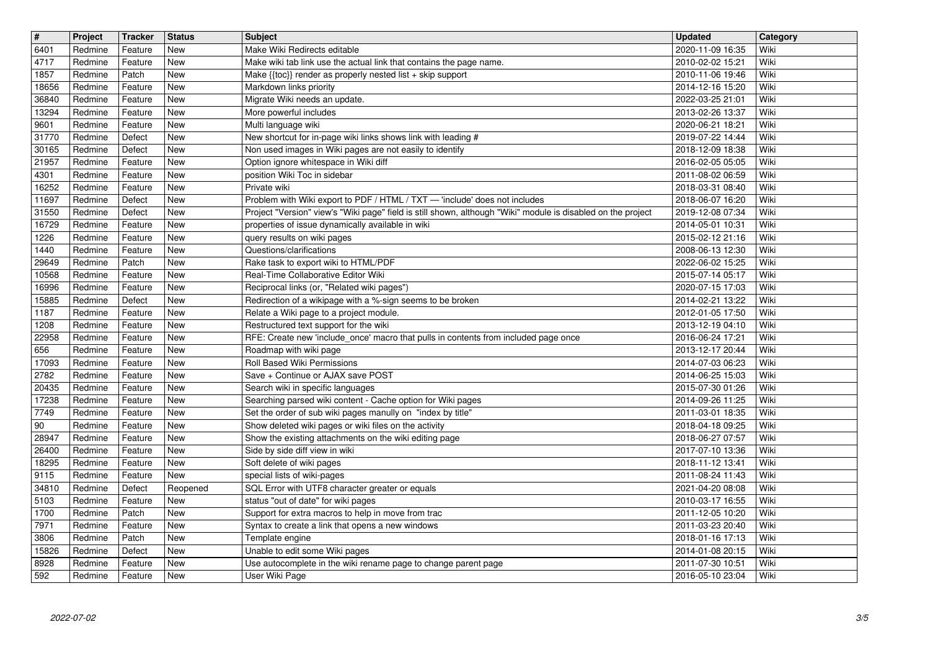| Wiki<br>4717<br><b>New</b><br>2010-02-02 15:21<br>Redmine<br>Feature<br>Make wiki tab link use the actual link that contains the page name.<br>Wiki<br>1857<br>Patch<br><b>New</b><br>Make {{toc}} render as properly nested list + skip support<br>2010-11-06 19:46<br>Redmine<br>Wiki<br>18656<br><b>New</b><br>Markdown links priority<br>2014-12-16 15:20<br>Redmine<br>Feature<br>36840<br>Migrate Wiki needs an update.<br>2022-03-25 21:01<br>Wiki<br>Redmine<br>Feature<br>New<br>13294<br>New<br>More powerful includes<br>2013-02-26 13:37<br>Wiki<br>Redmine<br>Feature<br>9601<br>Multi language wiki<br>2020-06-21 18:21<br>Wiki<br>Redmine<br>Feature<br>New<br>New shortcut for in-page wiki links shows link with leading #<br>31770<br>2019-07-22 14:44<br>Redmine<br>Defect<br>New<br>Wiki<br>30165<br>Non used images in Wiki pages are not easily to identify<br>2018-12-09 18:38<br>Wiki<br>Redmine<br>Defect<br>New<br>Option ignore whitespace in Wiki diff<br>21957<br>Wiki<br>Redmine<br>Feature<br>New<br>2016-02-05 05:05<br>position Wiki Toc in sidebar<br>Wiki<br>4301<br><b>New</b><br>Redmine<br>Feature<br>2011-08-02 06:59<br>Wiki<br>16252<br>Redmine<br><b>New</b><br>Private wiki<br>2018-03-31 08:40<br>Feature<br>11697<br><b>New</b><br>Problem with Wiki export to PDF / HTML / TXT - 'include' does not includes<br>2018-06-07 16:20<br>Wiki<br>Redmine<br>Defect<br>31550<br>Project "Version" view's "Wiki page" field is still shown, although "Wiki" module is disabled on the project<br>2019-12-08 07:34<br>Wiki<br>Redmine<br>Defect<br>New<br>16729<br>New<br>properties of issue dynamically available in wiki<br>2014-05-01 10:31<br>Wiki<br>Redmine<br>Feature<br>1226<br>query results on wiki pages<br>2015-02-12 21:16<br>Wiki<br>Redmine<br>Feature<br>New<br>1440<br>Questions/clarifications<br>Redmine<br>Feature<br>New<br>2008-06-13 12:30<br>Wiki<br>29649<br>Rake task to export wiki to HTML/PDF<br>2022-06-02 15:25<br>Wiki<br>Redmine<br>Patch<br>New<br>Real-Time Collaborative Editor Wiki<br>Wiki<br>10568<br>2015-07-14 05:17<br>Redmine<br>Feature<br>New<br>Wiki<br>16996<br><b>New</b><br>Reciprocal links (or, "Related wiki pages")<br>2020-07-15 17:03<br>Redmine<br>Feature<br>Wiki<br>15885<br>Redirection of a wikipage with a %-sign seems to be broken<br>2014-02-21 13:22<br>Redmine<br>Defect<br>New<br>1187<br>Relate a Wiki page to a project module.<br>Wiki<br>2012-01-05 17:50<br>Redmine<br>Feature<br>New<br>1208<br>Restructured text support for the wiki<br>2013-12-19 04:10<br>Wiki<br>Redmine<br>Feature<br>New<br>22958<br>New<br>RFE: Create new 'include_once' macro that pulls in contents from included page once<br>Wiki<br>Redmine<br>Feature<br>2016-06-24 17:21<br>656<br>Roadmap with wiki page<br>2013-12-17 20:44<br>Wiki<br>Redmine<br>Feature<br>New<br>Roll Based Wiki Permissions<br>17093<br>2014-07-03 06:23<br>Wiki<br>Redmine<br>Feature<br>New<br>2782<br>Save + Continue or AJAX save POST<br>2014-06-25 15:03<br>Wiki<br>Redmine<br>Feature<br>New<br>20435<br>Search wiki in specific languages<br>2015-07-30 01:26<br>Wiki<br>Redmine<br>New<br>Feature<br>17238<br>Wiki<br><b>New</b><br>Searching parsed wiki content - Cache option for Wiki pages<br>2014-09-26 11:25<br>Redmine<br>Feature<br>Set the order of sub wiki pages manully on "index by title"<br>Wiki<br>7749<br><b>New</b><br>2011-03-01 18:35<br>Redmine<br>Feature<br>90<br>Show deleted wiki pages or wiki files on the activity<br>Wiki<br>2018-04-18 09:25<br>Redmine<br>Feature<br>New<br>28947<br>Redmine<br>Show the existing attachments on the wiki editing page<br>2018-06-27 07:57<br>Wiki<br>Feature<br>New<br>26400<br>Side by side diff view in wiki<br>Redmine<br>Feature<br>New<br>2017-07-10 13:36<br>Wiki<br>18295<br>Soft delete of wiki pages<br>2018-11-12 13:41<br>Redmine<br>Feature<br>New<br>Wiki<br>9115<br>special lists of wiki-pages<br>Wiki<br>Redmine<br>Feature<br>New<br>2011-08-24 11:43<br>SQL Error with UTF8 character greater or equals<br>34810<br>Wiki<br>Redmine<br>Defect<br>Reopened<br>2021-04-20 08:08<br>5103<br>status "out of date" for wiki pages<br>2010-03-17 16:55<br>Wiki<br>Redmine<br>Feature<br>New<br>Wiki<br>1700<br>Support for extra macros to help in move from trac<br>Redmine<br>Patch<br>New<br>2011-12-05 10:20<br>7971<br>Redmine<br>Wiki<br>Feature<br>New<br>Syntax to create a link that opens a new windows<br>2011-03-23 20:40<br>3806<br>2018-01-16 17:13<br>Patch<br>New<br>Wiki<br>Redmine<br>Template engine<br>Unable to edit some Wiki pages<br>15826<br>Defect<br>New<br>2014-01-08 20:15<br>Wiki<br>Redmine<br>Use autocomplete in the wiki rename page to change parent page<br>8928<br>New<br>2011-07-30 10:51<br>Wiki<br>Redmine<br>Feature<br>592<br>New<br>User Wiki Page<br>2016-05-10 23:04<br>Wiki<br>Redmine<br>Feature<br>2022-07-02 | $\sqrt{t}$ | Project | <b>Tracker</b> | <b>Status</b> | <b>Subject</b><br>Make Wiki Redirects editable | <b>Updated</b>   | Category |
|---------------------------------------------------------------------------------------------------------------------------------------------------------------------------------------------------------------------------------------------------------------------------------------------------------------------------------------------------------------------------------------------------------------------------------------------------------------------------------------------------------------------------------------------------------------------------------------------------------------------------------------------------------------------------------------------------------------------------------------------------------------------------------------------------------------------------------------------------------------------------------------------------------------------------------------------------------------------------------------------------------------------------------------------------------------------------------------------------------------------------------------------------------------------------------------------------------------------------------------------------------------------------------------------------------------------------------------------------------------------------------------------------------------------------------------------------------------------------------------------------------------------------------------------------------------------------------------------------------------------------------------------------------------------------------------------------------------------------------------------------------------------------------------------------------------------------------------------------------------------------------------------------------------------------------------------------------------------------------------------------------------------------------------------------------------------------------------------------------------------------------------------------------------------------------------------------------------------------------------------------------------------------------------------------------------------------------------------------------------------------------------------------------------------------------------------------------------------------------------------------------------------------------------------------------------------------------------------------------------------------------------------------------------------------------------------------------------------------------------------------------------------------------------------------------------------------------------------------------------------------------------------------------------------------------------------------------------------------------------------------------------------------------------------------------------------------------------------------------------------------------------------------------------------------------------------------------------------------------------------------------------------------------------------------------------------------------------------------------------------------------------------------------------------------------------------------------------------------------------------------------------------------------------------------------------------------------------------------------------------------------------------------------------------------------------------------------------------------------------------------------------------------------------------------------------------------------------------------------------------------------------------------------------------------------------------------------------------------------------------------------------------------------------------------------------------------------------------------------------------------------------------------------------------------------------------------------------------------------------------------------------------------------------------------------------------------------------------------------------------------------------------------------------------------------------------------------------------------------------------------------------------------------------------------------------------------------------------------------------------------------------------------------------------------------------------------------------------------------------------------------------------------------------------------------------------------------------------------------------------------------------------------------------------------|------------|---------|----------------|---------------|------------------------------------------------|------------------|----------|
|                                                                                                                                                                                                                                                                                                                                                                                                                                                                                                                                                                                                                                                                                                                                                                                                                                                                                                                                                                                                                                                                                                                                                                                                                                                                                                                                                                                                                                                                                                                                                                                                                                                                                                                                                                                                                                                                                                                                                                                                                                                                                                                                                                                                                                                                                                                                                                                                                                                                                                                                                                                                                                                                                                                                                                                                                                                                                                                                                                                                                                                                                                                                                                                                                                                                                                                                                                                                                                                                                                                                                                                                                                                                                                                                                                                                                                                                                                                                                                                                                                                                                                                                                                                                                                                                                                                                                                                                                                                                                                                                                                                                                                                                                                                                                                                                                                                                                                                           | 6401       | Redmine | Feature        | New           |                                                | 2020-11-09 16:35 | Wiki     |
|                                                                                                                                                                                                                                                                                                                                                                                                                                                                                                                                                                                                                                                                                                                                                                                                                                                                                                                                                                                                                                                                                                                                                                                                                                                                                                                                                                                                                                                                                                                                                                                                                                                                                                                                                                                                                                                                                                                                                                                                                                                                                                                                                                                                                                                                                                                                                                                                                                                                                                                                                                                                                                                                                                                                                                                                                                                                                                                                                                                                                                                                                                                                                                                                                                                                                                                                                                                                                                                                                                                                                                                                                                                                                                                                                                                                                                                                                                                                                                                                                                                                                                                                                                                                                                                                                                                                                                                                                                                                                                                                                                                                                                                                                                                                                                                                                                                                                                                           |            |         |                |               |                                                |                  |          |
|                                                                                                                                                                                                                                                                                                                                                                                                                                                                                                                                                                                                                                                                                                                                                                                                                                                                                                                                                                                                                                                                                                                                                                                                                                                                                                                                                                                                                                                                                                                                                                                                                                                                                                                                                                                                                                                                                                                                                                                                                                                                                                                                                                                                                                                                                                                                                                                                                                                                                                                                                                                                                                                                                                                                                                                                                                                                                                                                                                                                                                                                                                                                                                                                                                                                                                                                                                                                                                                                                                                                                                                                                                                                                                                                                                                                                                                                                                                                                                                                                                                                                                                                                                                                                                                                                                                                                                                                                                                                                                                                                                                                                                                                                                                                                                                                                                                                                                                           |            |         |                |               |                                                |                  |          |
|                                                                                                                                                                                                                                                                                                                                                                                                                                                                                                                                                                                                                                                                                                                                                                                                                                                                                                                                                                                                                                                                                                                                                                                                                                                                                                                                                                                                                                                                                                                                                                                                                                                                                                                                                                                                                                                                                                                                                                                                                                                                                                                                                                                                                                                                                                                                                                                                                                                                                                                                                                                                                                                                                                                                                                                                                                                                                                                                                                                                                                                                                                                                                                                                                                                                                                                                                                                                                                                                                                                                                                                                                                                                                                                                                                                                                                                                                                                                                                                                                                                                                                                                                                                                                                                                                                                                                                                                                                                                                                                                                                                                                                                                                                                                                                                                                                                                                                                           |            |         |                |               |                                                |                  |          |
|                                                                                                                                                                                                                                                                                                                                                                                                                                                                                                                                                                                                                                                                                                                                                                                                                                                                                                                                                                                                                                                                                                                                                                                                                                                                                                                                                                                                                                                                                                                                                                                                                                                                                                                                                                                                                                                                                                                                                                                                                                                                                                                                                                                                                                                                                                                                                                                                                                                                                                                                                                                                                                                                                                                                                                                                                                                                                                                                                                                                                                                                                                                                                                                                                                                                                                                                                                                                                                                                                                                                                                                                                                                                                                                                                                                                                                                                                                                                                                                                                                                                                                                                                                                                                                                                                                                                                                                                                                                                                                                                                                                                                                                                                                                                                                                                                                                                                                                           |            |         |                |               |                                                |                  |          |
|                                                                                                                                                                                                                                                                                                                                                                                                                                                                                                                                                                                                                                                                                                                                                                                                                                                                                                                                                                                                                                                                                                                                                                                                                                                                                                                                                                                                                                                                                                                                                                                                                                                                                                                                                                                                                                                                                                                                                                                                                                                                                                                                                                                                                                                                                                                                                                                                                                                                                                                                                                                                                                                                                                                                                                                                                                                                                                                                                                                                                                                                                                                                                                                                                                                                                                                                                                                                                                                                                                                                                                                                                                                                                                                                                                                                                                                                                                                                                                                                                                                                                                                                                                                                                                                                                                                                                                                                                                                                                                                                                                                                                                                                                                                                                                                                                                                                                                                           |            |         |                |               |                                                |                  |          |
|                                                                                                                                                                                                                                                                                                                                                                                                                                                                                                                                                                                                                                                                                                                                                                                                                                                                                                                                                                                                                                                                                                                                                                                                                                                                                                                                                                                                                                                                                                                                                                                                                                                                                                                                                                                                                                                                                                                                                                                                                                                                                                                                                                                                                                                                                                                                                                                                                                                                                                                                                                                                                                                                                                                                                                                                                                                                                                                                                                                                                                                                                                                                                                                                                                                                                                                                                                                                                                                                                                                                                                                                                                                                                                                                                                                                                                                                                                                                                                                                                                                                                                                                                                                                                                                                                                                                                                                                                                                                                                                                                                                                                                                                                                                                                                                                                                                                                                                           |            |         |                |               |                                                |                  |          |
|                                                                                                                                                                                                                                                                                                                                                                                                                                                                                                                                                                                                                                                                                                                                                                                                                                                                                                                                                                                                                                                                                                                                                                                                                                                                                                                                                                                                                                                                                                                                                                                                                                                                                                                                                                                                                                                                                                                                                                                                                                                                                                                                                                                                                                                                                                                                                                                                                                                                                                                                                                                                                                                                                                                                                                                                                                                                                                                                                                                                                                                                                                                                                                                                                                                                                                                                                                                                                                                                                                                                                                                                                                                                                                                                                                                                                                                                                                                                                                                                                                                                                                                                                                                                                                                                                                                                                                                                                                                                                                                                                                                                                                                                                                                                                                                                                                                                                                                           |            |         |                |               |                                                |                  |          |
|                                                                                                                                                                                                                                                                                                                                                                                                                                                                                                                                                                                                                                                                                                                                                                                                                                                                                                                                                                                                                                                                                                                                                                                                                                                                                                                                                                                                                                                                                                                                                                                                                                                                                                                                                                                                                                                                                                                                                                                                                                                                                                                                                                                                                                                                                                                                                                                                                                                                                                                                                                                                                                                                                                                                                                                                                                                                                                                                                                                                                                                                                                                                                                                                                                                                                                                                                                                                                                                                                                                                                                                                                                                                                                                                                                                                                                                                                                                                                                                                                                                                                                                                                                                                                                                                                                                                                                                                                                                                                                                                                                                                                                                                                                                                                                                                                                                                                                                           |            |         |                |               |                                                |                  |          |
|                                                                                                                                                                                                                                                                                                                                                                                                                                                                                                                                                                                                                                                                                                                                                                                                                                                                                                                                                                                                                                                                                                                                                                                                                                                                                                                                                                                                                                                                                                                                                                                                                                                                                                                                                                                                                                                                                                                                                                                                                                                                                                                                                                                                                                                                                                                                                                                                                                                                                                                                                                                                                                                                                                                                                                                                                                                                                                                                                                                                                                                                                                                                                                                                                                                                                                                                                                                                                                                                                                                                                                                                                                                                                                                                                                                                                                                                                                                                                                                                                                                                                                                                                                                                                                                                                                                                                                                                                                                                                                                                                                                                                                                                                                                                                                                                                                                                                                                           |            |         |                |               |                                                |                  |          |
|                                                                                                                                                                                                                                                                                                                                                                                                                                                                                                                                                                                                                                                                                                                                                                                                                                                                                                                                                                                                                                                                                                                                                                                                                                                                                                                                                                                                                                                                                                                                                                                                                                                                                                                                                                                                                                                                                                                                                                                                                                                                                                                                                                                                                                                                                                                                                                                                                                                                                                                                                                                                                                                                                                                                                                                                                                                                                                                                                                                                                                                                                                                                                                                                                                                                                                                                                                                                                                                                                                                                                                                                                                                                                                                                                                                                                                                                                                                                                                                                                                                                                                                                                                                                                                                                                                                                                                                                                                                                                                                                                                                                                                                                                                                                                                                                                                                                                                                           |            |         |                |               |                                                |                  |          |
|                                                                                                                                                                                                                                                                                                                                                                                                                                                                                                                                                                                                                                                                                                                                                                                                                                                                                                                                                                                                                                                                                                                                                                                                                                                                                                                                                                                                                                                                                                                                                                                                                                                                                                                                                                                                                                                                                                                                                                                                                                                                                                                                                                                                                                                                                                                                                                                                                                                                                                                                                                                                                                                                                                                                                                                                                                                                                                                                                                                                                                                                                                                                                                                                                                                                                                                                                                                                                                                                                                                                                                                                                                                                                                                                                                                                                                                                                                                                                                                                                                                                                                                                                                                                                                                                                                                                                                                                                                                                                                                                                                                                                                                                                                                                                                                                                                                                                                                           |            |         |                |               |                                                |                  |          |
|                                                                                                                                                                                                                                                                                                                                                                                                                                                                                                                                                                                                                                                                                                                                                                                                                                                                                                                                                                                                                                                                                                                                                                                                                                                                                                                                                                                                                                                                                                                                                                                                                                                                                                                                                                                                                                                                                                                                                                                                                                                                                                                                                                                                                                                                                                                                                                                                                                                                                                                                                                                                                                                                                                                                                                                                                                                                                                                                                                                                                                                                                                                                                                                                                                                                                                                                                                                                                                                                                                                                                                                                                                                                                                                                                                                                                                                                                                                                                                                                                                                                                                                                                                                                                                                                                                                                                                                                                                                                                                                                                                                                                                                                                                                                                                                                                                                                                                                           |            |         |                |               |                                                |                  |          |
|                                                                                                                                                                                                                                                                                                                                                                                                                                                                                                                                                                                                                                                                                                                                                                                                                                                                                                                                                                                                                                                                                                                                                                                                                                                                                                                                                                                                                                                                                                                                                                                                                                                                                                                                                                                                                                                                                                                                                                                                                                                                                                                                                                                                                                                                                                                                                                                                                                                                                                                                                                                                                                                                                                                                                                                                                                                                                                                                                                                                                                                                                                                                                                                                                                                                                                                                                                                                                                                                                                                                                                                                                                                                                                                                                                                                                                                                                                                                                                                                                                                                                                                                                                                                                                                                                                                                                                                                                                                                                                                                                                                                                                                                                                                                                                                                                                                                                                                           |            |         |                |               |                                                |                  |          |
|                                                                                                                                                                                                                                                                                                                                                                                                                                                                                                                                                                                                                                                                                                                                                                                                                                                                                                                                                                                                                                                                                                                                                                                                                                                                                                                                                                                                                                                                                                                                                                                                                                                                                                                                                                                                                                                                                                                                                                                                                                                                                                                                                                                                                                                                                                                                                                                                                                                                                                                                                                                                                                                                                                                                                                                                                                                                                                                                                                                                                                                                                                                                                                                                                                                                                                                                                                                                                                                                                                                                                                                                                                                                                                                                                                                                                                                                                                                                                                                                                                                                                                                                                                                                                                                                                                                                                                                                                                                                                                                                                                                                                                                                                                                                                                                                                                                                                                                           |            |         |                |               |                                                |                  |          |
|                                                                                                                                                                                                                                                                                                                                                                                                                                                                                                                                                                                                                                                                                                                                                                                                                                                                                                                                                                                                                                                                                                                                                                                                                                                                                                                                                                                                                                                                                                                                                                                                                                                                                                                                                                                                                                                                                                                                                                                                                                                                                                                                                                                                                                                                                                                                                                                                                                                                                                                                                                                                                                                                                                                                                                                                                                                                                                                                                                                                                                                                                                                                                                                                                                                                                                                                                                                                                                                                                                                                                                                                                                                                                                                                                                                                                                                                                                                                                                                                                                                                                                                                                                                                                                                                                                                                                                                                                                                                                                                                                                                                                                                                                                                                                                                                                                                                                                                           |            |         |                |               |                                                |                  |          |
|                                                                                                                                                                                                                                                                                                                                                                                                                                                                                                                                                                                                                                                                                                                                                                                                                                                                                                                                                                                                                                                                                                                                                                                                                                                                                                                                                                                                                                                                                                                                                                                                                                                                                                                                                                                                                                                                                                                                                                                                                                                                                                                                                                                                                                                                                                                                                                                                                                                                                                                                                                                                                                                                                                                                                                                                                                                                                                                                                                                                                                                                                                                                                                                                                                                                                                                                                                                                                                                                                                                                                                                                                                                                                                                                                                                                                                                                                                                                                                                                                                                                                                                                                                                                                                                                                                                                                                                                                                                                                                                                                                                                                                                                                                                                                                                                                                                                                                                           |            |         |                |               |                                                |                  |          |
|                                                                                                                                                                                                                                                                                                                                                                                                                                                                                                                                                                                                                                                                                                                                                                                                                                                                                                                                                                                                                                                                                                                                                                                                                                                                                                                                                                                                                                                                                                                                                                                                                                                                                                                                                                                                                                                                                                                                                                                                                                                                                                                                                                                                                                                                                                                                                                                                                                                                                                                                                                                                                                                                                                                                                                                                                                                                                                                                                                                                                                                                                                                                                                                                                                                                                                                                                                                                                                                                                                                                                                                                                                                                                                                                                                                                                                                                                                                                                                                                                                                                                                                                                                                                                                                                                                                                                                                                                                                                                                                                                                                                                                                                                                                                                                                                                                                                                                                           |            |         |                |               |                                                |                  |          |
|                                                                                                                                                                                                                                                                                                                                                                                                                                                                                                                                                                                                                                                                                                                                                                                                                                                                                                                                                                                                                                                                                                                                                                                                                                                                                                                                                                                                                                                                                                                                                                                                                                                                                                                                                                                                                                                                                                                                                                                                                                                                                                                                                                                                                                                                                                                                                                                                                                                                                                                                                                                                                                                                                                                                                                                                                                                                                                                                                                                                                                                                                                                                                                                                                                                                                                                                                                                                                                                                                                                                                                                                                                                                                                                                                                                                                                                                                                                                                                                                                                                                                                                                                                                                                                                                                                                                                                                                                                                                                                                                                                                                                                                                                                                                                                                                                                                                                                                           |            |         |                |               |                                                |                  |          |
|                                                                                                                                                                                                                                                                                                                                                                                                                                                                                                                                                                                                                                                                                                                                                                                                                                                                                                                                                                                                                                                                                                                                                                                                                                                                                                                                                                                                                                                                                                                                                                                                                                                                                                                                                                                                                                                                                                                                                                                                                                                                                                                                                                                                                                                                                                                                                                                                                                                                                                                                                                                                                                                                                                                                                                                                                                                                                                                                                                                                                                                                                                                                                                                                                                                                                                                                                                                                                                                                                                                                                                                                                                                                                                                                                                                                                                                                                                                                                                                                                                                                                                                                                                                                                                                                                                                                                                                                                                                                                                                                                                                                                                                                                                                                                                                                                                                                                                                           |            |         |                |               |                                                |                  |          |
|                                                                                                                                                                                                                                                                                                                                                                                                                                                                                                                                                                                                                                                                                                                                                                                                                                                                                                                                                                                                                                                                                                                                                                                                                                                                                                                                                                                                                                                                                                                                                                                                                                                                                                                                                                                                                                                                                                                                                                                                                                                                                                                                                                                                                                                                                                                                                                                                                                                                                                                                                                                                                                                                                                                                                                                                                                                                                                                                                                                                                                                                                                                                                                                                                                                                                                                                                                                                                                                                                                                                                                                                                                                                                                                                                                                                                                                                                                                                                                                                                                                                                                                                                                                                                                                                                                                                                                                                                                                                                                                                                                                                                                                                                                                                                                                                                                                                                                                           |            |         |                |               |                                                |                  |          |
|                                                                                                                                                                                                                                                                                                                                                                                                                                                                                                                                                                                                                                                                                                                                                                                                                                                                                                                                                                                                                                                                                                                                                                                                                                                                                                                                                                                                                                                                                                                                                                                                                                                                                                                                                                                                                                                                                                                                                                                                                                                                                                                                                                                                                                                                                                                                                                                                                                                                                                                                                                                                                                                                                                                                                                                                                                                                                                                                                                                                                                                                                                                                                                                                                                                                                                                                                                                                                                                                                                                                                                                                                                                                                                                                                                                                                                                                                                                                                                                                                                                                                                                                                                                                                                                                                                                                                                                                                                                                                                                                                                                                                                                                                                                                                                                                                                                                                                                           |            |         |                |               |                                                |                  |          |
|                                                                                                                                                                                                                                                                                                                                                                                                                                                                                                                                                                                                                                                                                                                                                                                                                                                                                                                                                                                                                                                                                                                                                                                                                                                                                                                                                                                                                                                                                                                                                                                                                                                                                                                                                                                                                                                                                                                                                                                                                                                                                                                                                                                                                                                                                                                                                                                                                                                                                                                                                                                                                                                                                                                                                                                                                                                                                                                                                                                                                                                                                                                                                                                                                                                                                                                                                                                                                                                                                                                                                                                                                                                                                                                                                                                                                                                                                                                                                                                                                                                                                                                                                                                                                                                                                                                                                                                                                                                                                                                                                                                                                                                                                                                                                                                                                                                                                                                           |            |         |                |               |                                                |                  |          |
|                                                                                                                                                                                                                                                                                                                                                                                                                                                                                                                                                                                                                                                                                                                                                                                                                                                                                                                                                                                                                                                                                                                                                                                                                                                                                                                                                                                                                                                                                                                                                                                                                                                                                                                                                                                                                                                                                                                                                                                                                                                                                                                                                                                                                                                                                                                                                                                                                                                                                                                                                                                                                                                                                                                                                                                                                                                                                                                                                                                                                                                                                                                                                                                                                                                                                                                                                                                                                                                                                                                                                                                                                                                                                                                                                                                                                                                                                                                                                                                                                                                                                                                                                                                                                                                                                                                                                                                                                                                                                                                                                                                                                                                                                                                                                                                                                                                                                                                           |            |         |                |               |                                                |                  |          |
|                                                                                                                                                                                                                                                                                                                                                                                                                                                                                                                                                                                                                                                                                                                                                                                                                                                                                                                                                                                                                                                                                                                                                                                                                                                                                                                                                                                                                                                                                                                                                                                                                                                                                                                                                                                                                                                                                                                                                                                                                                                                                                                                                                                                                                                                                                                                                                                                                                                                                                                                                                                                                                                                                                                                                                                                                                                                                                                                                                                                                                                                                                                                                                                                                                                                                                                                                                                                                                                                                                                                                                                                                                                                                                                                                                                                                                                                                                                                                                                                                                                                                                                                                                                                                                                                                                                                                                                                                                                                                                                                                                                                                                                                                                                                                                                                                                                                                                                           |            |         |                |               |                                                |                  |          |
|                                                                                                                                                                                                                                                                                                                                                                                                                                                                                                                                                                                                                                                                                                                                                                                                                                                                                                                                                                                                                                                                                                                                                                                                                                                                                                                                                                                                                                                                                                                                                                                                                                                                                                                                                                                                                                                                                                                                                                                                                                                                                                                                                                                                                                                                                                                                                                                                                                                                                                                                                                                                                                                                                                                                                                                                                                                                                                                                                                                                                                                                                                                                                                                                                                                                                                                                                                                                                                                                                                                                                                                                                                                                                                                                                                                                                                                                                                                                                                                                                                                                                                                                                                                                                                                                                                                                                                                                                                                                                                                                                                                                                                                                                                                                                                                                                                                                                                                           |            |         |                |               |                                                |                  |          |
|                                                                                                                                                                                                                                                                                                                                                                                                                                                                                                                                                                                                                                                                                                                                                                                                                                                                                                                                                                                                                                                                                                                                                                                                                                                                                                                                                                                                                                                                                                                                                                                                                                                                                                                                                                                                                                                                                                                                                                                                                                                                                                                                                                                                                                                                                                                                                                                                                                                                                                                                                                                                                                                                                                                                                                                                                                                                                                                                                                                                                                                                                                                                                                                                                                                                                                                                                                                                                                                                                                                                                                                                                                                                                                                                                                                                                                                                                                                                                                                                                                                                                                                                                                                                                                                                                                                                                                                                                                                                                                                                                                                                                                                                                                                                                                                                                                                                                                                           |            |         |                |               |                                                |                  |          |
|                                                                                                                                                                                                                                                                                                                                                                                                                                                                                                                                                                                                                                                                                                                                                                                                                                                                                                                                                                                                                                                                                                                                                                                                                                                                                                                                                                                                                                                                                                                                                                                                                                                                                                                                                                                                                                                                                                                                                                                                                                                                                                                                                                                                                                                                                                                                                                                                                                                                                                                                                                                                                                                                                                                                                                                                                                                                                                                                                                                                                                                                                                                                                                                                                                                                                                                                                                                                                                                                                                                                                                                                                                                                                                                                                                                                                                                                                                                                                                                                                                                                                                                                                                                                                                                                                                                                                                                                                                                                                                                                                                                                                                                                                                                                                                                                                                                                                                                           |            |         |                |               |                                                |                  |          |
|                                                                                                                                                                                                                                                                                                                                                                                                                                                                                                                                                                                                                                                                                                                                                                                                                                                                                                                                                                                                                                                                                                                                                                                                                                                                                                                                                                                                                                                                                                                                                                                                                                                                                                                                                                                                                                                                                                                                                                                                                                                                                                                                                                                                                                                                                                                                                                                                                                                                                                                                                                                                                                                                                                                                                                                                                                                                                                                                                                                                                                                                                                                                                                                                                                                                                                                                                                                                                                                                                                                                                                                                                                                                                                                                                                                                                                                                                                                                                                                                                                                                                                                                                                                                                                                                                                                                                                                                                                                                                                                                                                                                                                                                                                                                                                                                                                                                                                                           |            |         |                |               |                                                |                  |          |
|                                                                                                                                                                                                                                                                                                                                                                                                                                                                                                                                                                                                                                                                                                                                                                                                                                                                                                                                                                                                                                                                                                                                                                                                                                                                                                                                                                                                                                                                                                                                                                                                                                                                                                                                                                                                                                                                                                                                                                                                                                                                                                                                                                                                                                                                                                                                                                                                                                                                                                                                                                                                                                                                                                                                                                                                                                                                                                                                                                                                                                                                                                                                                                                                                                                                                                                                                                                                                                                                                                                                                                                                                                                                                                                                                                                                                                                                                                                                                                                                                                                                                                                                                                                                                                                                                                                                                                                                                                                                                                                                                                                                                                                                                                                                                                                                                                                                                                                           |            |         |                |               |                                                |                  |          |
|                                                                                                                                                                                                                                                                                                                                                                                                                                                                                                                                                                                                                                                                                                                                                                                                                                                                                                                                                                                                                                                                                                                                                                                                                                                                                                                                                                                                                                                                                                                                                                                                                                                                                                                                                                                                                                                                                                                                                                                                                                                                                                                                                                                                                                                                                                                                                                                                                                                                                                                                                                                                                                                                                                                                                                                                                                                                                                                                                                                                                                                                                                                                                                                                                                                                                                                                                                                                                                                                                                                                                                                                                                                                                                                                                                                                                                                                                                                                                                                                                                                                                                                                                                                                                                                                                                                                                                                                                                                                                                                                                                                                                                                                                                                                                                                                                                                                                                                           |            |         |                |               |                                                |                  |          |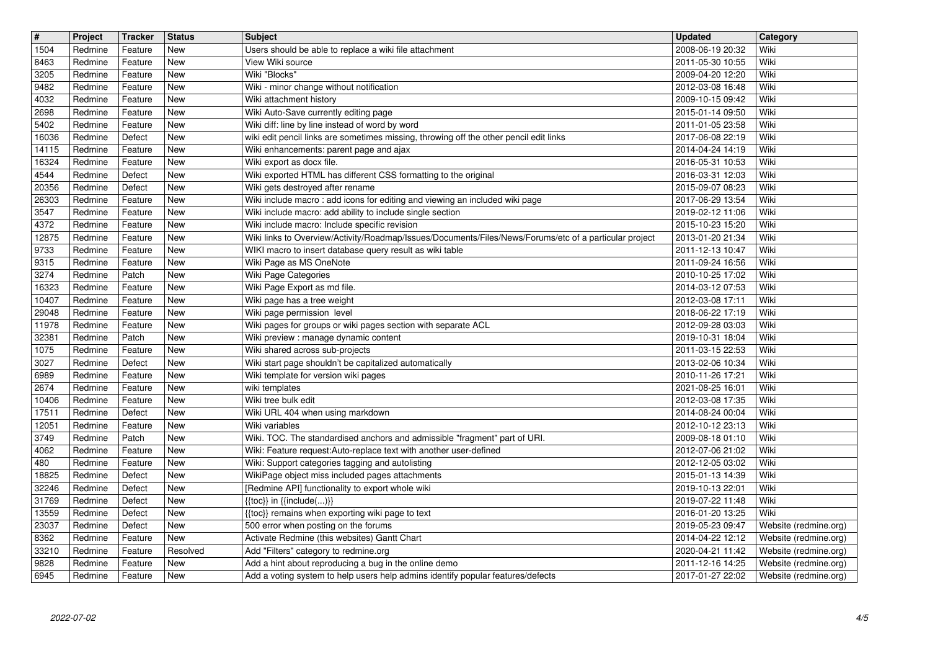| $\boxed{\texttt{#}}$ | Project            | <b>Tracker</b>     | <b>Status</b> | <b>Subject</b>                                                                                                                           | Updated                              | Category                                       |
|----------------------|--------------------|--------------------|---------------|------------------------------------------------------------------------------------------------------------------------------------------|--------------------------------------|------------------------------------------------|
| 1504                 | Redmine            | Feature            | New           | Users should be able to replace a wiki file attachment                                                                                   | 2008-06-19 20:32                     | Wiki                                           |
| 8463                 | Redmine            | Feature            | New           | View Wiki source                                                                                                                         | 2011-05-30 10:55                     | Wiki                                           |
| 3205<br>9482         | Redmine<br>Redmine | Feature<br>Feature | New<br>New    | Wiki "Blocks"<br>Wiki - minor change without notification                                                                                | 2009-04-20 12:20<br>2012-03-08 16:48 | Wiki<br>Wiki                                   |
| 4032                 | Redmine            | Feature            | New           | Wiki attachment history                                                                                                                  | 2009-10-15 09:42                     | Wiki                                           |
| 2698                 | Redmine            | Feature            | New           | Wiki Auto-Save currently editing page                                                                                                    | 2015-01-14 09:50                     | Wiki                                           |
| 5402                 | Redmine            | Feature            | New           | Wiki diff: line by line instead of word by word                                                                                          | 2011-01-05 23:58                     | Wiki                                           |
| 16036<br>14115       | Redmine<br>Redmine | Defect<br>Feature  | New<br>New    | wiki edit pencil links are sometimes missing, throwing off the other pencil edit links<br>Wiki enhancements: parent page and ajax        | 2017-06-08 22:19<br>2014-04-24 14:19 | Wiki<br>Wiki                                   |
| 16324                | Redmine            | Feature            | <b>New</b>    | Wiki export as docx file.                                                                                                                | 2016-05-31 10:53                     | Wiki                                           |
| 4544                 | Redmine            | Defect             | <b>New</b>    | Wiki exported HTML has different CSS formatting to the original                                                                          | 2016-03-31 12:03                     | Wiki                                           |
| 20356                | Redmine            | Defect             | New           | Wiki gets destroyed after rename                                                                                                         | 2015-09-07 08:23                     | Wiki                                           |
| 26303<br>3547        | Redmine<br>Redmine | Feature<br>Feature | New<br>New    | Wiki include macro: add icons for editing and viewing an included wiki page<br>Wiki include macro: add ability to include single section | 2017-06-29 13:54<br>2019-02-12 11:06 | Wiki<br>Wiki                                   |
| 4372                 | Redmine            | Feature            | New           | Wiki include macro: Include specific revision                                                                                            | 2015-10-23 15:20                     | Wiki                                           |
| 12875                | Redmine            | Feature            | New           | Wiki links to Overview/Activity/Roadmap/Issues/Documents/Files/News/Forums/etc of a particular project                                   | 2013-01-20 21:34                     | Wiki                                           |
| 9733                 | Redmine            | Feature            | New           | WIKI macro to insert database query result as wiki table                                                                                 | 2011-12-13 10:47                     | Wiki                                           |
| 9315<br>3274         | Redmine<br>Redmine | Feature<br>Patch   | New<br>New    | Wiki Page as MS OneNote<br>Wiki Page Categories                                                                                          | 2011-09-24 16:56<br>2010-10-25 17:02 | Wiki<br>Wiki                                   |
| 16323                | Redmine            | Feature            | <b>New</b>    | Wiki Page Export as md file.                                                                                                             | 2014-03-12 07:53                     | Wiki                                           |
| 10407                | Redmine            | Feature            | New           | Wiki page has a tree weight                                                                                                              | 2012-03-08 17:11                     | Wiki                                           |
| 29048                | Redmine            | Feature            | New           | Wiki page permission level                                                                                                               | 2018-06-22 17:19                     | Wiki                                           |
| 11978<br>32381       | Redmine<br>Redmine | Feature<br>Patch   | New<br>New    | Wiki pages for groups or wiki pages section with separate ACL<br>Wiki preview : manage dynamic content                                   | 2012-09-28 03:03<br>2019-10-31 18:04 | Wiki<br>Wiki                                   |
| 1075                 | Redmine            | Feature            | New           | Wiki shared across sub-projects                                                                                                          | 2011-03-15 22:53                     | Wiki                                           |
| 3027                 | Redmine            | Defect             | New           | Wiki start page shouldn't be capitalized automatically                                                                                   | 2013-02-06 10:34                     | Wiki                                           |
| 6989                 | Redmine            | Feature            | New           | Wiki template for version wiki pages                                                                                                     | 2010-11-26 17:21                     | Wiki                                           |
| 2674<br>10406        | Redmine<br>Redmine | Feature<br>Feature | New<br>New    | wiki templates<br>Wiki tree bulk edit                                                                                                    | 2021-08-25 16:01<br>2012-03-08 17:35 | Wiki<br>Wiki                                   |
| 17511                | Redmine            | Defect             | New           | Wiki URL 404 when using markdown                                                                                                         | 2014-08-24 00:04                     | Wiki                                           |
| 12051                | Redmine            | Feature            | New           | Wiki variables                                                                                                                           | 2012-10-12 23:13                     | Wiki                                           |
| 3749                 | Redmine            | Patch              | New           | Wiki. TOC. The standardised anchors and admissible "fragment" part of URI.                                                               | 2009-08-18 01:10                     | Wiki                                           |
| 4062                 | Redmine            | Feature            | New           | Wiki: Feature request:Auto-replace text with another user-defined                                                                        | 2012-07-06 21:02                     | Wiki                                           |
| 480<br>18825         | Redmine<br>Redmine | Feature<br>Defect  | New<br>New    | Wiki: Support categories tagging and autolisting<br>WikiPage object miss included pages attachments                                      | 2012-12-05 03:02<br>2015-01-13 14:39 | Wiki<br>Wiki                                   |
| 32246                | Redmine            | Defect             | New           | [Redmine API] functionality to export whole wiki                                                                                         | 2019-10-13 22:01                     | Wiki                                           |
| 31769                | Redmine            | Defect             | New           | $\{\{\textsf{toc}\}\}\$ in $\{\{\textsf{include}()\}\}$                                                                                  | 2019-07-22 11:48                     | Wiki                                           |
| 13559                | Redmine            | Defect             | New           | {{toc}} remains when exporting wiki page to text                                                                                         | 2016-01-20 13:25                     | Wiki                                           |
| 23037<br>8362        | Redmine<br>Redmine | Defect<br>Feature  | New<br>New    | 500 error when posting on the forums<br>Activate Redmine (this websites) Gantt Chart                                                     | 2019-05-23 09:47<br>2014-04-22 12:12 | Website (redmine.org)<br>Website (redmine.org) |
| 33210                | Redmine            | Feature            | Resolved      | Add "Filters" category to redmine.org                                                                                                    | 2020-04-21 11:42                     | Website (redmine.org)                          |
| 9828<br>6945         | Redmine<br>Redmine | Feature<br>Feature | New<br>New    | Add a hint about reproducing a bug in the online demo<br>Add a voting system to help users help admins identify popular features/defects | 2011-12-16 14:25<br>2017-01-27 22:02 | Website (redmine.org)<br>Website (redmine.org) |
|                      |                    |                    |               |                                                                                                                                          |                                      |                                                |
|                      |                    |                    |               |                                                                                                                                          |                                      |                                                |
|                      |                    |                    |               |                                                                                                                                          |                                      |                                                |
|                      |                    |                    |               |                                                                                                                                          |                                      |                                                |
|                      |                    |                    |               |                                                                                                                                          |                                      |                                                |
|                      |                    |                    |               |                                                                                                                                          |                                      |                                                |
|                      |                    |                    |               |                                                                                                                                          |                                      |                                                |
|                      |                    |                    |               |                                                                                                                                          |                                      |                                                |
|                      |                    |                    |               |                                                                                                                                          |                                      |                                                |
|                      |                    |                    |               |                                                                                                                                          |                                      |                                                |
|                      |                    |                    |               |                                                                                                                                          |                                      |                                                |
|                      |                    |                    |               |                                                                                                                                          |                                      |                                                |
|                      |                    |                    |               |                                                                                                                                          |                                      |                                                |
|                      |                    |                    |               |                                                                                                                                          |                                      |                                                |
|                      |                    |                    |               |                                                                                                                                          |                                      |                                                |